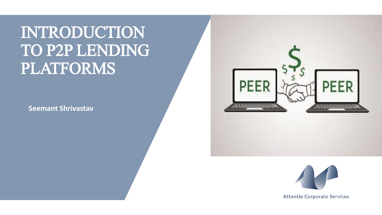INTRODUCTION TO P2P LENDING PLATFORMS

**Seemant Shrivastav**



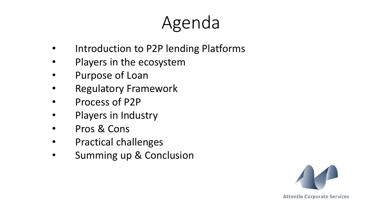# Agenda

- Introduction to P2P lending Platforms
- Players in the ecosystem
- Purpose of Loan
- Regulatory Framework
- Process of P2P
- Players in Industry
- Pros & Cons
- Practical challenges
- Summing up & Conclusion

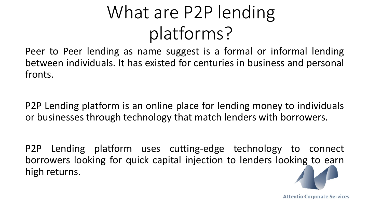# What are P2P lending platforms?

Peer to Peer lending as name suggest is a formal or informal lending between individuals. It has existed for centuries in business and personal fronts.

P2P Lending platform is an online place for lending money to individuals or businesses through technology that match lenders with borrowers.

P2P Lending platform uses cutting-edge technology to connect borrowers looking for quick capital injection to lenders looking to earn high returns.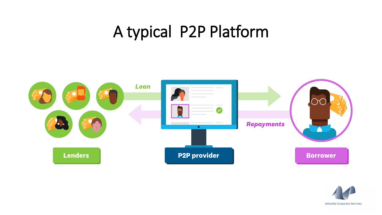# A typical P2P Platform



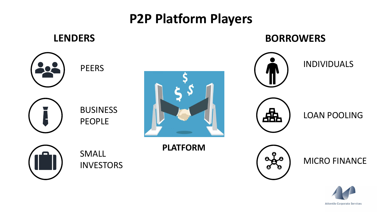#### **P2P Platform Players**

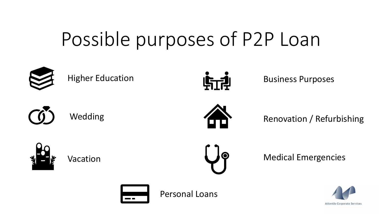# Possible purposes of P2P Loan



Higher Education



Business Purposes



Wedding



Renovation / Refurbishing



Vacation



Medical Emergencies



Personal Loans

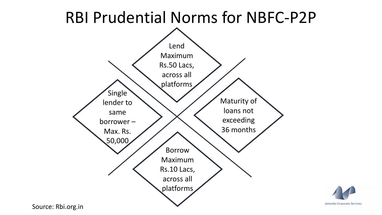

Source: Rbi.org.in

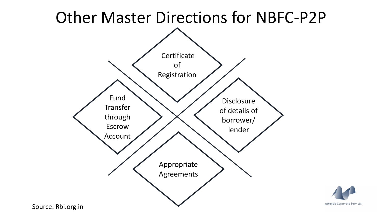

Source: Rbi.org.in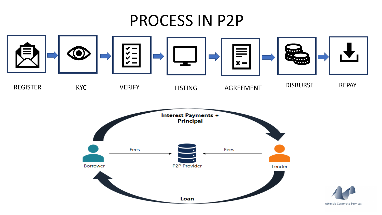## PROCESS IN P2P

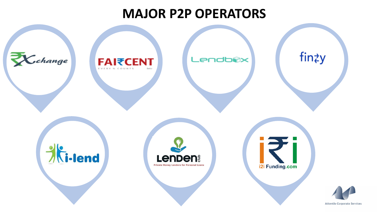#### **MAJOR P2P OPERATORS**

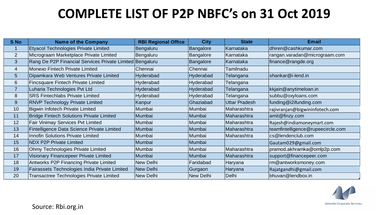### **COMPLETE LIST OF P2P NBFC's on 31 Oct 2019**

| <b>S</b> No     | <b>Name of the Company</b>                               | <b>RBI Regional Office</b> | <b>City</b>      | <b>State</b>         | <b>Email</b>                      |
|-----------------|----------------------------------------------------------|----------------------------|------------------|----------------------|-----------------------------------|
|                 | <b>Etyacol Technologies Private Limited</b>              | Bengaluru                  | <b>Bangalore</b> | Karnataka            | dhiren@cashkumar.com              |
| $\overline{2}$  | Micrograam Marketplace Private Limited                   | Bengaluru                  | <b>Bangalore</b> | Karnataka            | rangan.varadan@micrograam.com     |
| 3               | Rang De P2P Financial Services Private Limited Bengaluru |                            | Bangalore        | Karnataka            | finance@rangde.org                |
| $\overline{4}$  | Monexo Fintech Private Limited                           | Chennai                    | Chennai          | Tamilnadu            |                                   |
| $5\overline{)}$ | Dipamkara Web Ventures Private Limited                   | Hyderabad                  | <b>Hyderabad</b> | Telangana            | shankar@i-lend.in                 |
| $6\phantom{1}$  | <b>Fincsquare Fintech Private Limited</b>                | Hyderabad                  | <b>Hyderabad</b> | Telangana            |                                   |
| $\overline{7}$  | Luharia Technologies Pvt Ltd                             | Hyderabad                  | <b>Hyderabad</b> | Telangana            | kkjain@anytimeloan.in             |
| 8               | <b>SRS Fintechlabs Private Limited</b>                   | Hyderabad                  | <b>Hyderabad</b> | Telangana            | subbu@oxyloans.com                |
| 9               | <b>RNVP Technology Private Limited</b>                   | Kanpur                     | Ghaziabad        | <b>Uttar Pradesh</b> | funding@i2ifunding.com            |
| 10              | <b>Bigwin Infotech Private Limited</b>                   | Mumbai                     | Mumbai           | Maharashtra          | rajivranjan@bigwininfotech.com    |
| 11              | <b>Bridge Fintech Solutions Private Limited</b>          | Mumbai                     | Mumbai           | Maharashtra          | amit@finzy.com                    |
| 12              | <b>Fair Vinimay Services Pvt Limited</b>                 | Mumbai                     | Mumbai           | Maharashtra          | Rajesh@indiamoneymart.com         |
| 13              | Fintelligence Data Science Private Limited               | Mumbai                     | Mumbai           | Maharashtra          | teamfintelligence@rupeecircle.com |
| 14              | <b>Innofin Solutions Private Limited</b>                 | Mumbai                     | Mumbai           | Maharashtra          | cs@lendenclub.com                 |
| 15              | <b>NDX P2P Private Limited</b>                           | Mumbai                     | Mumbai           |                      | Gautam029@gmail.com               |
| 16              | <b>Ohmy Technologies Private Limited</b>                 | Mumbai                     | Mumbai           | Maharashtra          | pramod.akhramka@omlp2p.com        |
| 17              | Visionary Financepeer Private Limited                    | Mumbai                     | Mumbai           | Maharashtra          | support@financepeer.com           |
| 18              | <b>Antworks P2P Financing Private Limited</b>            | <b>New Delhi</b>           | Faridabad        | Haryana              | rm@antworksmoney.com              |
| 19              | Fairassets Technologies India Private Limited            | New Delhi                  | Gurgaon          | Haryana              | Rajatgandhi@gmail.com             |
| 20              | Transactree Technologies Private Limited                 | New Delhi                  | New Delhi        | Delhi                | bhuvan@lendbox.in                 |

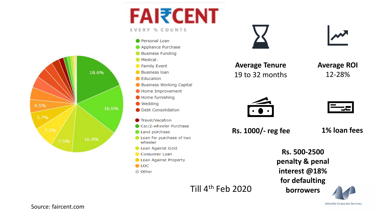



**FAI₹CENT** 

EVERY % COUNTS



**Average Tenure** 19 to 32 months **Average ROI** 12-28%





**Rs. 1000/- reg fee 1% loan fees**

Till 4th Feb 2020

**Rs. 500-2500 penalty & penal interest @18% for defaulting borrowers**

# **Attentio Corporate Services**

Source: faircent.com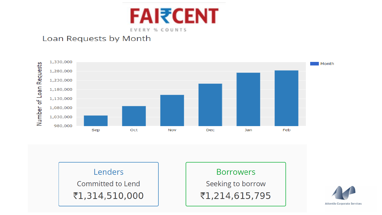

#### Loan Requests by Month





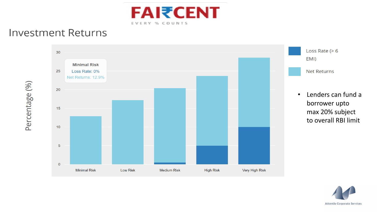

#### **Investment Returns**

Percentage (%)



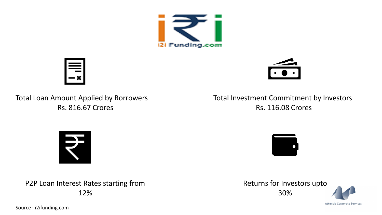



Total Loan Amount Applied by Borrowers Rs. 816.67 Crores

Total Investment Commitment by Investors Rs. 116.08 Crores



P2P Loan Interest Rates starting from 12%

 $\bullet$ 

Returns for Investors upto 30%

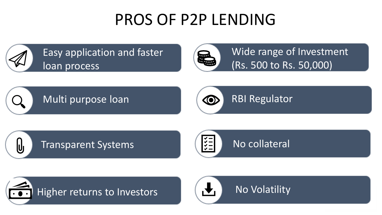# PROS OF P2P LENDING



Easy application and faster loan process



Wide range of Investment (Rs. 500 to Rs. 50,000)

## Multi purpose loan



RBI Regulator

Transparent Systems (EE) No collateral





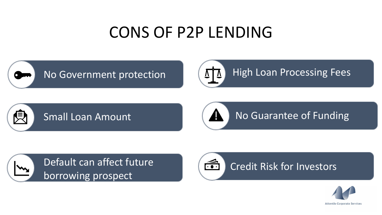## CONS OF P2P LENDING





Small Loan Amount



No Guarantee of Funding





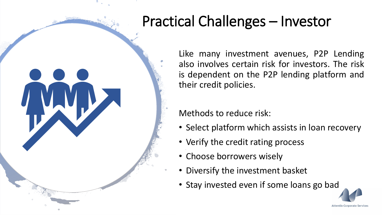## Practical Challenges – Investor

Like many investment avenues, P2P Lending also involves certain risk for investors. The risk is dependent on the P2P lending platform and their credit policies.

Methods to reduce risk:

- Select platform which assists in loan recovery
- Verify the credit rating process
- Choose borrowers wisely
- Diversify the investment basket
- Stay invested even if some loans go bad

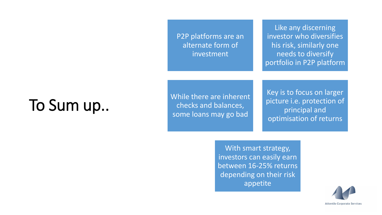P2P platforms are an alternate form of investment

Like any discerning investor who diversifies his risk, similarly one needs to diversify portfolio in P2P platform

# To Sum up..

While there are inherent checks and balances, some loans may go bad

Key is to focus on larger picture i.e. protection of principal and optimisation of returns

With smart strategy, investors can easily earn between 16-25% returns depending on their risk appetite